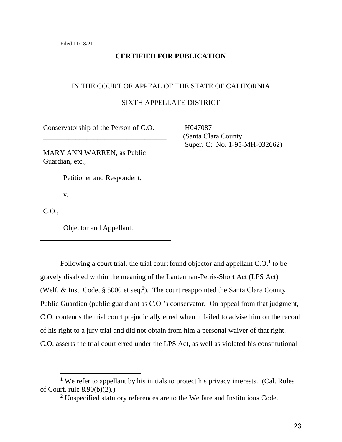# **CERTIFIED FOR PUBLICATION**

## IN THE COURT OF APPEAL OF THE STATE OF CALIFORNIA

## SIXTH APPELLATE DISTRICT

Conservatorship of the Person of C.O.

\_\_\_\_\_\_\_\_\_\_\_\_\_\_\_\_\_\_\_\_\_\_\_\_\_\_\_\_\_\_\_\_\_\_

MARY ANN WARREN, as Public Guardian, etc.,

Petitioner and Respondent,

v.

C.O.,

Objector and Appellant.

 H047087 (Santa Clara County Super. Ct. No. 1-95-MH-032662)

Following a court trial, the trial court found objector and appellant C.O.**<sup>1</sup>** to be gravely disabled within the meaning of the Lanterman-Petris-Short Act (LPS Act) (Welf. & Inst. Code, § 5000 et seq.**<sup>2</sup>** ). The court reappointed the Santa Clara County Public Guardian (public guardian) as C.O.'s conservator. On appeal from that judgment, C.O. contends the trial court prejudicially erred when it failed to advise him on the record of his right to a jury trial and did not obtain from him a personal waiver of that right. C.O. asserts the trial court erred under the LPS Act, as well as violated his constitutional

**<sup>1</sup>** We refer to appellant by his initials to protect his privacy interests. (Cal. Rules of Court, rule 8.90(b)(2).)

**<sup>2</sup>** Unspecified statutory references are to the Welfare and Institutions Code.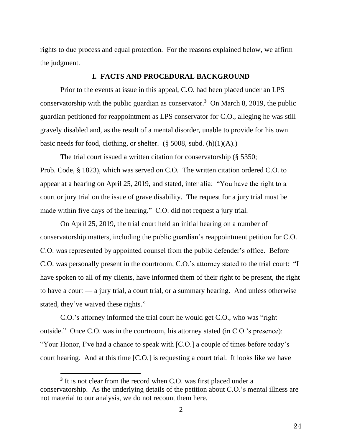rights to due process and equal protection. For the reasons explained below, we affirm the judgment.

### **I. FACTS AND PROCEDURAL BACKGROUND**

Prior to the events at issue in this appeal, C.O. had been placed under an LPS conservatorship with the public guardian as conservator. **<sup>3</sup>** On March 8, 2019, the public guardian petitioned for reappointment as LPS conservator for C.O., alleging he was still gravely disabled and, as the result of a mental disorder, unable to provide for his own basic needs for food, clothing, or shelter.  $(\S 5008, \text{subd. (h)}(1)(A))$ .

The trial court issued a written citation for conservatorship (§ 5350; Prob. Code, § 1823), which was served on C.O. The written citation ordered C.O. to appear at a hearing on April 25, 2019, and stated, inter alia: "You have the right to a court or jury trial on the issue of grave disability. The request for a jury trial must be made within five days of the hearing." C.O. did not request a jury trial.

On April 25, 2019, the trial court held an initial hearing on a number of conservatorship matters, including the public guardian's reappointment petition for C.O. C.O. was represented by appointed counsel from the public defender's office. Before C.O. was personally present in the courtroom, C.O.'s attorney stated to the trial court: "I have spoken to all of my clients, have informed them of their right to be present, the right to have a court — a jury trial, a court trial, or a summary hearing. And unless otherwise stated, they've waived these rights."

C.O.'s attorney informed the trial court he would get C.O., who was "right outside." Once C.O. was in the courtroom, his attorney stated (in C.O.'s presence): "Your Honor, I've had a chance to speak with [C.O.] a couple of times before today's court hearing. And at this time [C.O.] is requesting a court trial. It looks like we have

<sup>&</sup>lt;sup>3</sup> It is not clear from the record when C.O. was first placed under a conservatorship. As the underlying details of the petition about C.O.'s mental illness are not material to our analysis, we do not recount them here.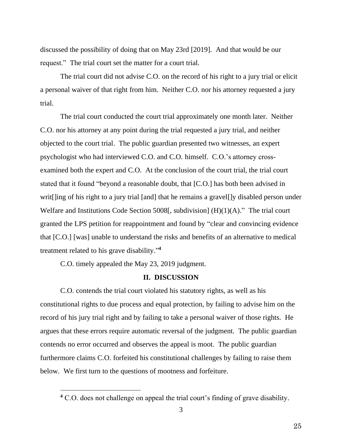discussed the possibility of doing that on May 23rd [2019]. And that would be our request." The trial court set the matter for a court trial.

The trial court did not advise C.O. on the record of his right to a jury trial or elicit a personal waiver of that right from him. Neither C.O. nor his attorney requested a jury trial.

The trial court conducted the court trial approximately one month later. Neither C.O. nor his attorney at any point during the trial requested a jury trial, and neither objected to the court trial. The public guardian presented two witnesses, an expert psychologist who had interviewed C.O. and C.O. himself. C.O.'s attorney crossexamined both the expert and C.O. At the conclusion of the court trial, the trial court stated that it found "beyond a reasonable doubt, that [C.O.] has both been advised in writ[]ing of his right to a jury trial [and] that he remains a gravel[]y disabled person under Welfare and Institutions Code Section 5008[, subdivision] (H)(1)(A)." The trial court granted the LPS petition for reappointment and found by "clear and convincing evidence that [C.O.] [was] unable to understand the risks and benefits of an alternative to medical treatment related to his grave disability." **4**

C.O. timely appealed the May 23, 2019 judgment.

## **II. DISCUSSION**

C.O. contends the trial court violated his statutory rights, as well as his constitutional rights to due process and equal protection, by failing to advise him on the record of his jury trial right and by failing to take a personal waiver of those rights. He argues that these errors require automatic reversal of the judgment. The public guardian contends no error occurred and observes the appeal is moot. The public guardian furthermore claims C.O. forfeited his constitutional challenges by failing to raise them below. We first turn to the questions of mootness and forfeiture.

**<sup>4</sup>** C.O. does not challenge on appeal the trial court's finding of grave disability.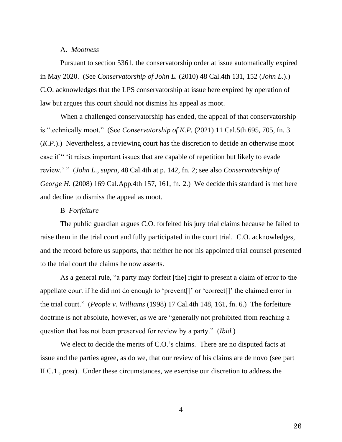## A. *Mootness*

Pursuant to section 5361, the conservatorship order at issue automatically expired in May 2020. (See *Conservatorship of John L.* (2010) 48 Cal.4th 131, 152 (*John L.*).) C.O. acknowledges that the LPS conservatorship at issue here expired by operation of law but argues this court should not dismiss his appeal as moot.

When a challenged conservatorship has ended, the appeal of that conservatorship is "technically moot." (See *Conservatorship of K.P.* (2021) 11 Cal.5th 695, 705, fn. 3 (*K.P.*).) Nevertheless, a reviewing court has the discretion to decide an otherwise moot case if " 'it raises important issues that are capable of repetition but likely to evade review.' " (*John L.*, *supra,* 48 Cal.4th at p. 142, fn. 2; see also *Conservatorship of George H.* (2008) 169 Cal.App.4th 157, 161, fn. 2.) We decide this standard is met here and decline to dismiss the appeal as moot.

#### B *Forfeiture*

The public guardian argues C.O. forfeited his jury trial claims because he failed to raise them in the trial court and fully participated in the court trial. C.O. acknowledges, and the record before us supports, that neither he nor his appointed trial counsel presented to the trial court the claims he now asserts.

As a general rule, "a party may forfeit [the] right to present a claim of error to the appellate court if he did not do enough to 'prevent[]' or 'correct[]' the claimed error in the trial court." (*People v. Williams* (1998) 17 Cal.4th 148, 161, fn. 6.) The forfeiture doctrine is not absolute, however, as we are "generally not prohibited from reaching a question that has not been preserved for review by a party." (*Ibid.*)

We elect to decide the merits of C.O.'s claims. There are no disputed facts at issue and the parties agree, as do we, that our review of his claims are de novo (see part II.C.1., *post*). Under these circumstances, we exercise our discretion to address the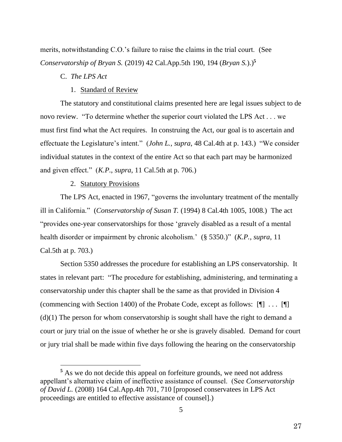merits, notwithstanding C.O.'s failure to raise the claims in the trial court. (See *Conservatorship of Bryan S.* (2019) 42 Cal.App.5th 190, 194 (*Bryan S.*).)**<sup>5</sup>**

# C. *The LPS Act*

#### 1. Standard of Review

The statutory and constitutional claims presented here are legal issues subject to de novo review. "To determine whether the superior court violated the LPS Act . . . we must first find what the Act requires. In construing the Act, our goal is to ascertain and effectuate the Legislature's intent." (*John L.*, *supra*, 48 Cal.4th at p. 143.) "We consider individual statutes in the context of the entire Act so that each part may be harmonized and given effect." (*K.P.*, *supra*, 11 Cal.5th at p. 706.)

#### 2. Statutory Provisions

The LPS Act, enacted in 1967, "governs the involuntary treatment of the mentally ill in California." (*Conservatorship of Susan T.* (1994) 8 Cal.4th 1005, 1008.) The act "provides one-year conservatorships for those 'gravely disabled as a result of a mental health disorder or impairment by chronic alcoholism.' (§ 5350.)" (*K.P.*, *supra*, 11 Cal.5th at p. 703.)

Section 5350 addresses the procedure for establishing an LPS conservatorship. It states in relevant part: "The procedure for establishing, administering, and terminating a conservatorship under this chapter shall be the same as that provided in Division 4 (commencing with Section 1400) of the Probate Code, except as follows: [¶] . . . [¶]  $(d)(1)$  The person for whom conservatorship is sought shall have the right to demand a court or jury trial on the issue of whether he or she is gravely disabled. Demand for court or jury trial shall be made within five days following the hearing on the conservatorship

**<sup>5</sup>** As we do not decide this appeal on forfeiture grounds, we need not address appellant's alternative claim of ineffective assistance of counsel. (See *Conservatorship of David L.* (2008) 164 Cal.App.4th 701, 710 [proposed conservatees in LPS Act proceedings are entitled to effective assistance of counsel].)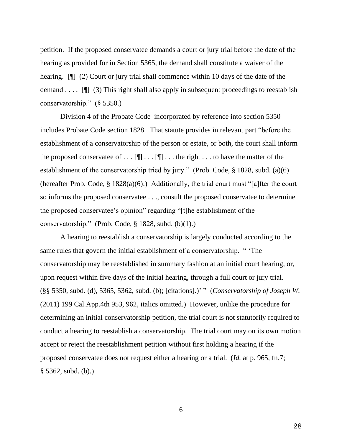petition. If the proposed conservatee demands a court or jury trial before the date of the hearing as provided for in Section 5365, the demand shall constitute a waiver of the hearing. [¶] (2) Court or jury trial shall commence within 10 days of the date of the demand ....  $[\n\Pi]$  (3) This right shall also apply in subsequent proceedings to reestablish conservatorship." (§ 5350.)

Division 4 of the Probate Code–incorporated by reference into section 5350– includes Probate Code section 1828. That statute provides in relevant part "before the establishment of a conservatorship of the person or estate, or both, the court shall inform the proposed conservatee of  $\dots$  [ $\blacksquare$ ]  $\dots$  [ $\blacksquare$ ]  $\dots$  the right  $\dots$  to have the matter of the establishment of the conservatorship tried by jury." (Prob. Code, § 1828, subd. (a)(6) (hereafter Prob. Code, § 1828(a)(6).) Additionally, the trial court must "[a]fter the court so informs the proposed conservatee . . ., consult the proposed conservatee to determine the proposed conservatee's opinion" regarding "[t]he establishment of the conservatorship." (Prob. Code, § 1828, subd. (b)(1).)

A hearing to reestablish a conservatorship is largely conducted according to the same rules that govern the initial establishment of a conservatorship. " 'The conservatorship may be reestablished in summary fashion at an initial court hearing, or, upon request within five days of the initial hearing, through a full court or jury trial*.* (§§ 5350, subd. (d), 5365, 5362, subd. (b); [citations].)' " (*Conservatorship of Joseph W.* (2011) 199 Cal.App.4th 953, 962, italics omitted.) However, unlike the procedure for determining an initial conservatorship petition, the trial court is not statutorily required to conduct a hearing to reestablish a conservatorship. The trial court may on its own motion accept or reject the reestablishment petition without first holding a hearing if the proposed conservatee does not request either a hearing or a trial. (*Id.* at p. 965, fn.7; § 5362, subd. (b).)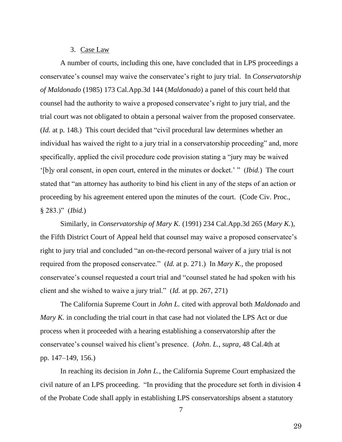#### 3. Case Law

A number of courts, including this one, have concluded that in LPS proceedings a conservatee's counsel may waive the conservatee's right to jury trial. In *Conservatorship of Maldonado* (1985) 173 Cal.App.3d 144 (*Maldonado*) a panel of this court held that counsel had the authority to waive a proposed conservatee's right to jury trial, and the trial court was not obligated to obtain a personal waiver from the proposed conservatee. (*Id.* at p. 148.) This court decided that "civil procedural law determines whether an individual has waived the right to a jury trial in a conservatorship proceeding" and, more specifically, applied the civil procedure code provision stating a "jury may be waived '[b]y oral consent, in open court, entered in the minutes or docket.' " (*Ibid.*) The court stated that "an attorney has authority to bind his client in any of the steps of an action or proceeding by his agreement entered upon the minutes of the court. (Code Civ. Proc., § 283.)" (*Ibid.*)

Similarly, in *Conservatorship of Mary K.* (1991) 234 Cal.App.3d 265 (*Mary K.*), the Fifth District Court of Appeal held that counsel may waive a proposed conservatee's right to jury trial and concluded "an on-the-record personal waiver of a jury trial is not required from the proposed conservatee." (*Id.* at p. 271.) In *Mary K.*, the proposed conservatee's counsel requested a court trial and "counsel stated he had spoken with his client and she wished to waive a jury trial." (*Id.* at pp. 267, 271)

The California Supreme Court in *John L.* cited with approval both *Maldonado* and *Mary K.* in concluding the trial court in that case had not violated the LPS Act or due process when it proceeded with a hearing establishing a conservatorship after the conservatee's counsel waived his client's presence. (*John. L.*, *supra*, 48 Cal.4th at pp. 147–149, 156.)

In reaching its decision in *John L.*, the California Supreme Court emphasized the civil nature of an LPS proceeding. "In providing that the procedure set forth in division 4 of the Probate Code shall apply in establishing LPS conservatorships absent a statutory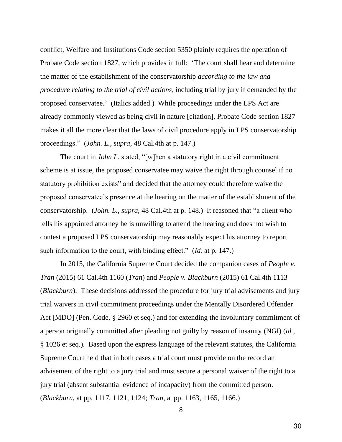conflict, Welfare and Institutions Code section 5350 plainly requires the operation of Probate Code section 1827, which provides in full: 'The court shall hear and determine the matter of the establishment of the conservatorship *according to the law and procedure relating to the trial of civil actions*, including trial by jury if demanded by the proposed conservatee.' (Italics added.) While proceedings under the LPS Act are already commonly viewed as being civil in nature [citation], Probate Code section 1827 makes it all the more clear that the laws of civil procedure apply in LPS conservatorship proceedings." (*John. L.*, *supra*, 48 Cal.4th at p. 147.)

The court in *John L*. stated, "[w]hen a statutory right in a civil commitment scheme is at issue, the proposed conservatee may waive the right through counsel if no statutory prohibition exists" and decided that the attorney could therefore waive the proposed conservatee's presence at the hearing on the matter of the establishment of the conservatorship. (*John. L.*, *supra*, 48 Cal.4th at p. 148.) It reasoned that "a client who tells his appointed attorney he is unwilling to attend the hearing and does not wish to contest a proposed LPS conservatorship may reasonably expect his attorney to report such information to the court, with binding effect." (*Id.* at p. 147.)

In 2015, the California Supreme Court decided the companion cases of *People v. Tran* (2015) 61 Cal.4th 1160 (*Tran*) and *People v. Blackburn* (2015) 61 Cal.4th 1113 (*Blackburn*). These decisions addressed the procedure for jury trial advisements and jury trial waivers in civil commitment proceedings under the Mentally Disordered Offender Act [MDO] (Pen. Code, § 2960 et seq.) and for extending the involuntary commitment of a person originally committed after pleading not guilty by reason of insanity (NGI) (*id.*, § 1026 et seq.). Based upon the express language of the relevant statutes, the California Supreme Court held that in both cases a trial court must provide on the record an advisement of the right to a jury trial and must secure a personal waiver of the right to a jury trial (absent substantial evidence of incapacity) from the committed person. (*Blackburn*, at pp. 1117, 1121, 1124; *Tran*, at pp. 1163, 1165, 1166.)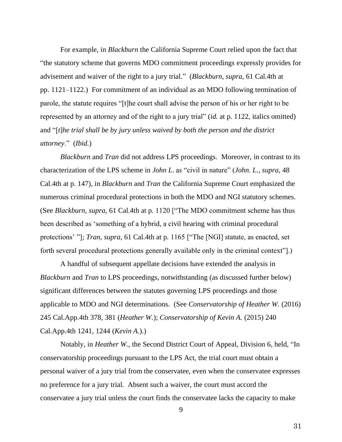For example, in *Blackburn* the California Supreme Court relied upon the fact that "the statutory scheme that governs MDO commitment proceedings expressly provides for advisement and waiver of the right to a jury trial." (*Blackburn*, *supra*, 61 Cal.4th at pp. 1121–1122.) For commitment of an individual as an MDO following termination of parole, the statute requires "[t]he court shall advise the person of his or her right to be represented by an attorney and of the right to a jury trial" (*id.* at p. 1122, italics omitted) and "[*t*]*he trial shall be by jury unless waived by both the person and the district attorney*." (*Ibid.*)

*Blackburn* and *Tran* did not address LPS proceedings. Moreover, in contrast to its characterization of the LPS scheme in *John L*. as "civil in nature" (*John. L.*, *supra*, 48 Cal.4th at p. 147), in *Blackburn* and *Tran* the California Supreme Court emphasized the numerous criminal procedural protections in both the MDO and NGI statutory schemes. (See *Blackburn*, *supra*, 61 Cal.4th at p. 1120 ["The MDO commitment scheme has thus been described as 'something of a hybrid, a civil hearing with criminal procedural protections' "]; *Tran*, *supra*, 61 Cal.4th at p. 1165 ["The [NGI] statute, as enacted, set forth several procedural protections generally available only in the criminal context"].)

A handful of subsequent appellate decisions have extended the analysis in *Blackburn* and *Tran* to LPS proceedings, notwithstanding (as discussed further below) significant differences between the statutes governing LPS proceedings and those applicable to MDO and NGI determinations. (See *Conservatorship of Heather W.* (2016) 245 Cal.App.4th 378, 381 (*Heather W.*); *Conservatorship of Kevin A.* (2015) 240 Cal.App.4th 1241, 1244 (*Kevin A.*).)

Notably, in *Heather W.*, the Second District Court of Appeal, Division 6, held, "In conservatorship proceedings pursuant to the LPS Act, the trial court must obtain a personal waiver of a jury trial from the conservatee, even when the conservatee expresses no preference for a jury trial. Absent such a waiver, the court must accord the conservatee a jury trial unless the court finds the conservatee lacks the capacity to make

<sup>9</sup>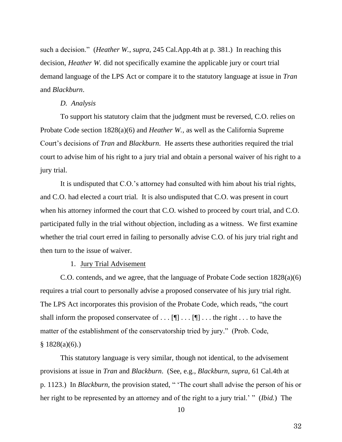such a decision." (*Heather W.*, *supra*, 245 Cal.App.4th at p. 381.) In reaching this decision, *Heather W.* did not specifically examine the applicable jury or court trial demand language of the LPS Act or compare it to the statutory language at issue in *Tran* and *Blackburn*.

#### *D. Analysis*

To support his statutory claim that the judgment must be reversed, C.O. relies on Probate Code section 1828(a)(6) and *Heather W.*, as well as the California Supreme Court's decisions of *Tran* and *Blackburn*. He asserts these authorities required the trial court to advise him of his right to a jury trial and obtain a personal waiver of his right to a jury trial.

It is undisputed that C.O.'s attorney had consulted with him about his trial rights, and C.O. had elected a court trial. It is also undisputed that C.O. was present in court when his attorney informed the court that C.O. wished to proceed by court trial, and C.O. participated fully in the trial without objection, including as a witness. We first examine whether the trial court erred in failing to personally advise C.O. of his jury trial right and then turn to the issue of waiver.

1. Jury Trial Advisement

C.O. contends, and we agree, that the language of Probate Code section 1828(a)(6) requires a trial court to personally advise a proposed conservatee of his jury trial right. The LPS Act incorporates this provision of the Probate Code, which reads, "the court shall inform the proposed conservatee of  $\dots$  [ $\blacksquare$   $\dots$  [ $\blacksquare$ ]  $\dots$  the right  $\dots$  to have the matter of the establishment of the conservatorship tried by jury." (Prob. Code,  $§ 1828(a)(6).)$ 

This statutory language is very similar, though not identical, to the advisement provisions at issue in *Tran* and *Blackburn*. (See, e.g., *Blackburn*, *supra*, 61 Cal.4th at p. 1123.) In *Blackburn,* the provision stated, " 'The court shall advise the person of his or her right to be represented by an attorney and of the right to a jury trial.' " (*Ibid.*) The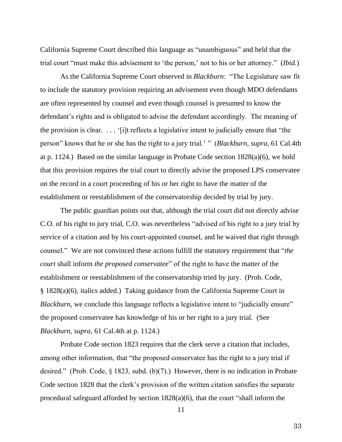California Supreme Court described this language as "unambiguous" and held that the trial court "must make this advisement to 'the person,' not to his or her attorney." (*Ibid.*)

As the California Supreme Court observed in *Blackburn*: "The Legislature saw fit to include the statutory provision requiring an advisement even though MDO defendants are often represented by counsel and even though counsel is presumed to know the defendant's rights and is obligated to advise the defendant accordingly. The meaning of the provision is clear. . . . '[i]t reflects a legislative intent to judicially ensure that "the person" knows that he or she has the right to a jury trial.' " (*Blackburn*, *supra*, 61 Cal.4th at p. 1124.) Based on the similar language in Probate Code section 1828(a)(6), we hold that this provision requires the trial court to directly advise the proposed LPS conservatee on the record in a court proceeding of his or her right to have the matter of the establishment or reestablishment of the conservatorship decided by trial by jury.

The public guardian points out that, although the trial court did not directly advise C.O. of his right to jury trial, C.O. was nevertheless "advised of his right to a jury trial by service of a citation and by his court-appointed counsel, and he waived that right through counsel." We are not convinced these actions fulfill the statutory requirement that "*the court* shall inform *the proposed conservatee*" of the right to have the matter of the establishment or reestablishment of the conservatorship tried by jury. (Prob. Code, § 1828(a)(6), italics added.) Taking guidance from the California Supreme Court in *Blackburn*, we conclude this language reflects a legislative intent to "judicially ensure" the proposed conservatee has knowledge of his or her right to a jury trial. (See *Blackburn*, *supra*, 61 Cal.4th at p. 1124.)

Probate Code section 1823 requires that the clerk serve a citation that includes, among other information, that "the proposed conservatee has the right to a jury trial if desired." (Prob. Code, § 1823, subd. (b)(7).) However, there is no indication in Probate Code section 1828 that the clerk's provision of the written citation satisfies the separate procedural safeguard afforded by section 1828(a)(6), that the court "shall inform the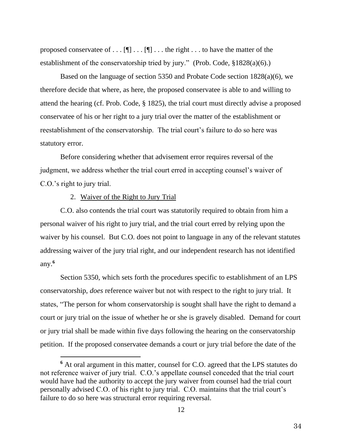proposed conservatee of  $\dots$  [ $\blacksquare$ )  $\dots$  [ $\blacksquare$ ]  $\dots$  the right  $\dots$  to have the matter of the establishment of the conservatorship tried by jury." (Prob. Code, §1828(a)(6).)

Based on the language of section 5350 and Probate Code section 1828(a)(6), we therefore decide that where, as here, the proposed conservatee is able to and willing to attend the hearing (cf. Prob. Code, § 1825), the trial court must directly advise a proposed conservatee of his or her right to a jury trial over the matter of the establishment or reestablishment of the conservatorship. The trial court's failure to do so here was statutory error.

Before considering whether that advisement error requires reversal of the judgment, we address whether the trial court erred in accepting counsel's waiver of C.O.'s right to jury trial.

## 2. Waiver of the Right to Jury Trial

C.O. also contends the trial court was statutorily required to obtain from him a personal waiver of his right to jury trial, and the trial court erred by relying upon the waiver by his counsel. But C.O. does not point to language in any of the relevant statutes addressing waiver of the jury trial right, and our independent research has not identified any. **6**

Section 5350, which sets forth the procedures specific to establishment of an LPS conservatorship, *does* reference waiver but not with respect to the right to jury trial. It states, "The person for whom conservatorship is sought shall have the right to demand a court or jury trial on the issue of whether he or she is gravely disabled. Demand for court or jury trial shall be made within five days following the hearing on the conservatorship petition. If the proposed conservatee demands a court or jury trial before the date of the

**<sup>6</sup>** At oral argument in this matter, counsel for C.O. agreed that the LPS statutes do not reference waiver of jury trial. C.O.'s appellate counsel conceded that the trial court would have had the authority to accept the jury waiver from counsel had the trial court personally advised C.O. of his right to jury trial. C.O. maintains that the trial court's failure to do so here was structural error requiring reversal.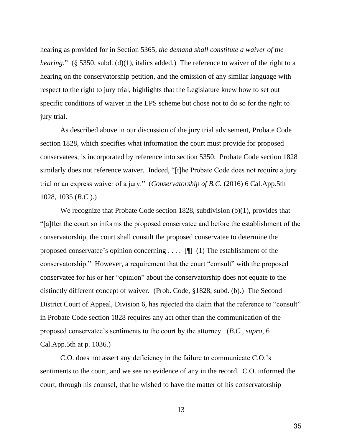hearing as provided for in Section 5365, *the demand shall constitute a waiver of the hearing.*" (§ 5350, subd. (d)(1), italics added.) The reference to waiver of the right to a hearing on the conservatorship petition, and the omission of any similar language with respect to the right to jury trial, highlights that the Legislature knew how to set out specific conditions of waiver in the LPS scheme but chose not to do so for the right to jury trial.

As described above in our discussion of the jury trial advisement, Probate Code section 1828, which specifies what information the court must provide for proposed conservatees, is incorporated by reference into section 5350. Probate Code section 1828 similarly does not reference waiver. Indeed, "[t]he Probate Code does not require a jury trial or an express waiver of a jury." (*Conservatorship of B.C.* (2016) 6 Cal.App.5th 1028, 1035 (*B.C.*).)

We recognize that Probate Code section 1828, subdivision (b)(1), provides that "[a]fter the court so informs the proposed conservatee and before the establishment of the conservatorship, the court shall consult the proposed conservatee to determine the proposed conservatee's opinion concerning . . . . [¶] (1) The establishment of the conservatorship." However, a requirement that the court "consult" with the proposed conservatee for his or her "opinion" about the conservatorship does not equate to the distinctly different concept of waiver. (Prob. Code, §1828, subd. (b).) The Second District Court of Appeal, Division 6, has rejected the claim that the reference to "consult" in Probate Code section 1828 requires any act other than the communication of the proposed conservatee's sentiments to the court by the attorney. (*B.C.*, *supra*, 6 Cal.App.5th at p. 1036.)

C.O. does not assert any deficiency in the failure to communicate C.O.'s sentiments to the court, and we see no evidence of any in the record. C.O. informed the court, through his counsel, that he wished to have the matter of his conservatorship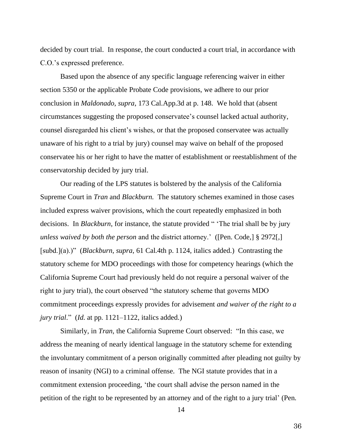decided by court trial. In response, the court conducted a court trial, in accordance with C.O.'s expressed preference.

Based upon the absence of any specific language referencing waiver in either section 5350 or the applicable Probate Code provisions, we adhere to our prior conclusion in *Maldonado*, *supra*, 173 Cal.App.3d at p. 148. We hold that (absent circumstances suggesting the proposed conservatee's counsel lacked actual authority, counsel disregarded his client's wishes, or that the proposed conservatee was actually unaware of his right to a trial by jury) counsel may waive on behalf of the proposed conservatee his or her right to have the matter of establishment or reestablishment of the conservatorship decided by jury trial.

Our reading of the LPS statutes is bolstered by the analysis of the California Supreme Court in *Tran* and *Blackburn.* The statutory schemes examined in those cases included express waiver provisions, which the court repeatedly emphasized in both decisions. In *Blackburn*, for instance, the statute provided " The trial shall be by jury *unless waived by both the person* and the district attorney.' ([Pen. Code,] § 2972[,] [subd.](a).)" (*Blackburn*, *supra*, 61 Cal.4th p. 1124, italics added.) Contrasting the statutory scheme for MDO proceedings with those for competency hearings (which the California Supreme Court had previously held do not require a personal waiver of the right to jury trial), the court observed "the statutory scheme that governs MDO commitment proceedings expressly provides for advisement *and waiver of the right to a jury trial.*" (*Id.* at pp. 1121–1122, italics added.)

Similarly, in *Tran*, the California Supreme Court observed: "In this case, we address the meaning of nearly identical language in the statutory scheme for extending the involuntary commitment of a person originally committed after pleading not guilty by reason of insanity (NGI) to a criminal offense. The NGI statute provides that in a commitment extension proceeding, 'the court shall advise the person named in the petition of the right to be represented by an attorney and of the right to a jury trial' (Pen.

14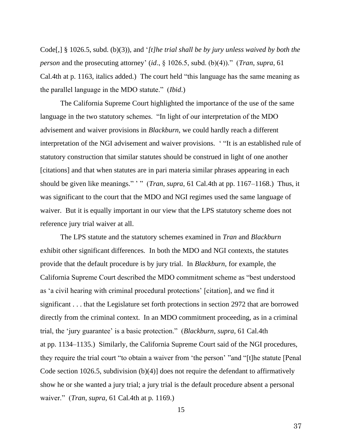Code[,] § 1026.5, subd. (b)(3)), and '*[t]he trial shall be by jury unless waived by both the person* and the prosecuting attorney' (*id*., § 1026.5, subd. (b)(4))." (*Tran*, *supra*, 61 Cal.4th at p. 1163, italics added.) The court held "this language has the same meaning as the parallel language in the MDO statute." (*Ibid*.)

The California Supreme Court highlighted the importance of the use of the same language in the two statutory schemes. "In light of our interpretation of the MDO advisement and waiver provisions in *Blackburn*, we could hardly reach a different interpretation of the NGI advisement and waiver provisions. ' "It is an established rule of statutory construction that similar statutes should be construed in light of one another [citations] and that when statutes are in pari materia similar phrases appearing in each should be given like meanings." " (*Tran*, *supra*, 61 Cal.4th at pp. 1167–1168.) Thus, it was significant to the court that the MDO and NGI regimes used the same language of waiver. But it is equally important in our view that the LPS statutory scheme does not reference jury trial waiver at all.

The LPS statute and the statutory schemes examined in *Tran* and *Blackburn* exhibit other significant differences*.* In both the MDO and NGI contexts, the statutes provide that the default procedure is by jury trial. In *Blackburn*, for example, the California Supreme Court described the MDO commitment scheme as "best understood as 'a civil hearing with criminal procedural protections' [citation], and we find it significant . . . that the Legislature set forth protections in section 2972 that are borrowed directly from the criminal context. In an MDO commitment proceeding, as in a criminal trial, the 'jury guarantee' is a basic protection." (*Blackburn*, *supra*, 61 Cal.4th at pp. 1134–1135.) Similarly, the California Supreme Court said of the NGI procedures, they require the trial court "to obtain a waiver from 'the person' "and "[t]he statute [Penal Code section 1026.5, subdivision (b)(4)] does not require the defendant to affirmatively show he or she wanted a jury trial; a jury trial is the default procedure absent a personal waiver." (*Tran*, *supra*, 61 Cal.4th at p. 1169.)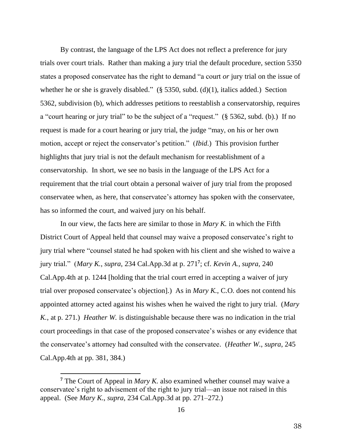By contrast, the language of the LPS Act does not reflect a preference for jury trials over court trials. Rather than making a jury trial the default procedure, section 5350 states a proposed conservatee has the right to demand "a court *or* jury trial on the issue of whether he or she is gravely disabled."  $(\S 5350, \text{subd. (d)}(1), \text{italics added.})$  Section 5362, subdivision (b), which addresses petitions to reestablish a conservatorship, requires a "court hearing or jury trial" to be the subject of a "request." (§ 5362, subd. (b).) If no request is made for a court hearing or jury trial, the judge "may, on his or her own motion, accept or reject the conservator's petition." (*Ibid*.) This provision further highlights that jury trial is not the default mechanism for reestablishment of a conservatorship. In short, we see no basis in the language of the LPS Act for a requirement that the trial court obtain a personal waiver of jury trial from the proposed conservatee when, as here, that conservatee's attorney has spoken with the conservatee, has so informed the court, and waived jury on his behalf.

In our view, the facts here are similar to those in *Mary K.* in which the Fifth District Court of Appeal held that counsel may waive a proposed conservatee's right to jury trial where "counsel stated he had spoken with his client and she wished to waive a jury trial." (*Mary K.*, *supra*, 234 Cal.App.3d at p. 271**<sup>7</sup>** ; cf. *Kevin A.*, *supra*, 240 Cal.App.4th at p. 1244 [holding that the trial court erred in accepting a waiver of jury trial over proposed conservatee's objection].) As in *Mary K.*, C.O. does not contend his appointed attorney acted against his wishes when he waived the right to jury trial. (*Mary K.*, at p. 271.) *Heather W.* is distinguishable because there was no indication in the trial court proceedings in that case of the proposed conservatee's wishes or any evidence that the conservatee's attorney had consulted with the conservatee. (*Heather W.*, *supra*, 245 Cal.App.4th at pp. 381, 384.)

**<sup>7</sup>** The Court of Appeal in *Mary K.* also examined whether counsel may waive a conservatee's right to advisement of the right to jury trial—an issue not raised in this appeal. (See *Mary K*., *supra*, 234 Cal.App.3d at pp. 271–272.)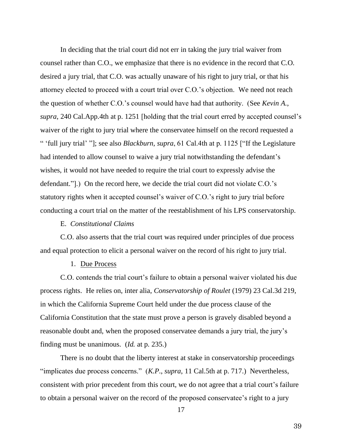In deciding that the trial court did not err in taking the jury trial waiver from counsel rather than C.O., we emphasize that there is no evidence in the record that C.O. desired a jury trial, that C.O. was actually unaware of his right to jury trial, or that his attorney elected to proceed with a court trial over C.O.'s objection. We need not reach the question of whether C.O.'s counsel would have had that authority. (See *Kevin A.*, *supra*, 240 Cal.App.4th at p. 1251 [holding that the trial court erred by accepted counsel's waiver of the right to jury trial where the conservatee himself on the record requested a " 'full jury trial' "]; see also *Blackburn*, *supra*, 61 Cal.4th at p. 1125 ["If the Legislature had intended to allow counsel to waive a jury trial notwithstanding the defendant's wishes, it would not have needed to require the trial court to expressly advise the defendant."].) On the record here, we decide the trial court did not violate C.O.'s statutory rights when it accepted counsel's waiver of C.O.'s right to jury trial before conducting a court trial on the matter of the reestablishment of his LPS conservatorship.

#### E. *Constitutional Claims*

C.O. also asserts that the trial court was required under principles of due process and equal protection to elicit a personal waiver on the record of his right to jury trial.

### 1. Due Process

C.O. contends the trial court's failure to obtain a personal waiver violated his due process rights. He relies on, inter alia, *Conservatorship of Roulet* (1979) 23 Cal.3d 219, in which the California Supreme Court held under the due process clause of the California Constitution that the state must prove a person is gravely disabled beyond a reasonable doubt and, when the proposed conservatee demands a jury trial, the jury's finding must be unanimous. (*Id.* at p. 235.)

There is no doubt that the liberty interest at stake in conservatorship proceedings "implicates due process concerns." (*K.P*., *supra*, 11 Cal.5th at p. 717.) Nevertheless, consistent with prior precedent from this court, we do not agree that a trial court's failure to obtain a personal waiver on the record of the proposed conservatee's right to a jury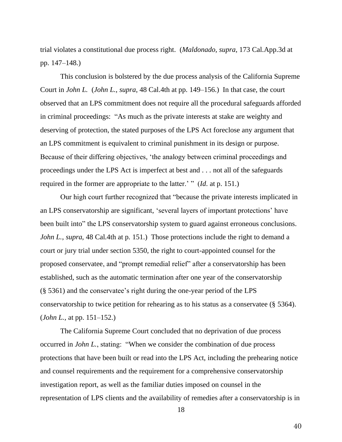trial violates a constitutional due process right. (*Maldonado, supra*, 173 Cal.App.3d at pp. 147–148.)

This conclusion is bolstered by the due process analysis of the California Supreme Court in *John L.* (*John L.*, *supra*, 48 Cal.4th at pp. 149–156.) In that case, the court observed that an LPS commitment does not require all the procedural safeguards afforded in criminal proceedings: "As much as the private interests at stake are weighty and deserving of protection, the stated purposes of the LPS Act foreclose any argument that an LPS commitment is equivalent to criminal punishment in its design or purpose. Because of their differing objectives, 'the analogy between criminal proceedings and proceedings under the LPS Act is imperfect at best and . . . not all of the safeguards required in the former are appropriate to the latter.' " (*Id*. at p. 151.)

Our high court further recognized that "because the private interests implicated in an LPS conservatorship are significant, 'several layers of important protections' have been built into" the LPS conservatorship system to guard against erroneous conclusions. *John L.*, *supra*, 48 Cal.4th at p. 151.) Those protections include the right to demand a court or jury trial under section 5350, the right to court-appointed counsel for the proposed conservatee, and "prompt remedial relief" after a conservatorship has been established, such as the automatic termination after one year of the conservatorship (§ 5361) and the conservatee's right during the one-year period of the LPS conservatorship to twice petition for rehearing as to his status as a conservatee (§ 5364). (*John L.*, at pp. 151–152.)

The California Supreme Court concluded that no deprivation of due process occurred in *John L.*, stating: "When we consider the combination of due process protections that have been built or read into the LPS Act, including the prehearing notice and counsel requirements and the requirement for a comprehensive conservatorship investigation report, as well as the familiar duties imposed on counsel in the representation of LPS clients and the availability of remedies after a conservatorship is in

18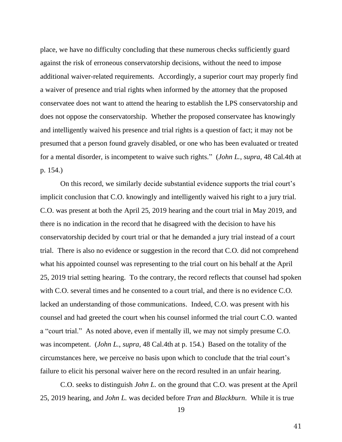place, we have no difficulty concluding that these numerous checks sufficiently guard against the risk of erroneous conservatorship decisions, without the need to impose additional waiver-related requirements. Accordingly, a superior court may properly find a waiver of presence and trial rights when informed by the attorney that the proposed conservatee does not want to attend the hearing to establish the LPS conservatorship and does not oppose the conservatorship. Whether the proposed conservatee has knowingly and intelligently waived his presence and trial rights is a question of fact; it may not be presumed that a person found gravely disabled, or one who has been evaluated or treated for a mental disorder, is incompetent to waive such rights." (*John L.*, *supra*, 48 Cal.4th at p. 154.)

On this record, we similarly decide substantial evidence supports the trial court's implicit conclusion that C.O. knowingly and intelligently waived his right to a jury trial. C.O. was present at both the April 25, 2019 hearing and the court trial in May 2019, and there is no indication in the record that he disagreed with the decision to have his conservatorship decided by court trial or that he demanded a jury trial instead of a court trial. There is also no evidence or suggestion in the record that C.O. did not comprehend what his appointed counsel was representing to the trial court on his behalf at the April 25, 2019 trial setting hearing. To the contrary, the record reflects that counsel had spoken with C.O. several times and he consented to a court trial, and there is no evidence C.O. lacked an understanding of those communications. Indeed, C.O. was present with his counsel and had greeted the court when his counsel informed the trial court C.O. wanted a "court trial." As noted above, even if mentally ill, we may not simply presume C.O. was incompetent. (*John L.*, *supra*, 48 Cal.4th at p. 154.) Based on the totality of the circumstances here, we perceive no basis upon which to conclude that the trial court's failure to elicit his personal waiver here on the record resulted in an unfair hearing.

C.O. seeks to distinguish *John L.* on the ground that C.O. was present at the April 25, 2019 hearing, and *John L.* was decided before *Tran* and *Blackburn*. While it is true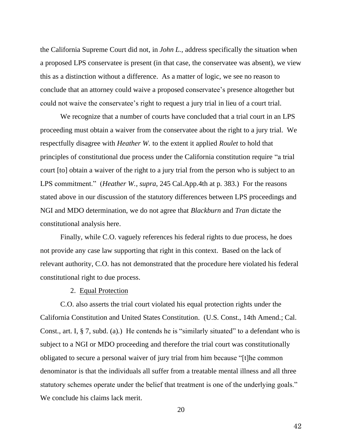the California Supreme Court did not, in *John L.*, address specifically the situation when a proposed LPS conservatee is present (in that case, the conservatee was absent), we view this as a distinction without a difference. As a matter of logic, we see no reason to conclude that an attorney could waive a proposed conservatee's presence altogether but could not waive the conservatee's right to request a jury trial in lieu of a court trial.

We recognize that a number of courts have concluded that a trial court in an LPS proceeding must obtain a waiver from the conservatee about the right to a jury trial. We respectfully disagree with *Heather W.* to the extent it applied *Roulet* to hold that principles of constitutional due process under the California constitution require "a trial court [to] obtain a waiver of the right to a jury trial from the person who is subject to an LPS commitment." (*Heather W.*, *supra*, 245 Cal.App.4th at p. 383.) For the reasons stated above in our discussion of the statutory differences between LPS proceedings and NGI and MDO determination, we do not agree that *Blackburn* and *Tran* dictate the constitutional analysis here.

Finally, while C.O. vaguely references his federal rights to due process, he does not provide any case law supporting that right in this context. Based on the lack of relevant authority, C.O. has not demonstrated that the procedure here violated his federal constitutional right to due process.

#### 2. Equal Protection

C.O. also asserts the trial court violated his equal protection rights under the California Constitution and United States Constitution. (U.S. Const., 14th Amend.; Cal. Const., art. I, § 7, subd. (a).) He contends he is "similarly situated" to a defendant who is subject to a NGI or MDO proceeding and therefore the trial court was constitutionally obligated to secure a personal waiver of jury trial from him because "[t]he common denominator is that the individuals all suffer from a treatable mental illness and all three statutory schemes operate under the belief that treatment is one of the underlying goals." We conclude his claims lack merit.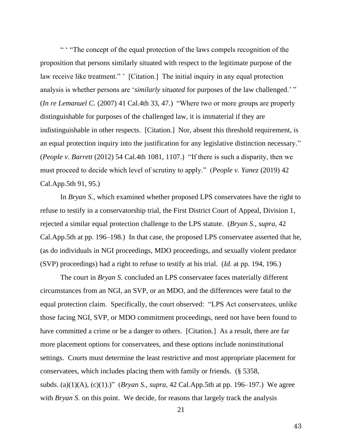" ' "The concept of the equal protection of the laws compels recognition of the proposition that persons similarly situated with respect to the legitimate purpose of the law receive like treatment." ' [Citation.] The initial inquiry in any equal protection analysis is whether persons are '*similarly situated* for purposes of the law challenged.' " (*In re Lemanuel C.* (2007) 41 Cal.4th 33, 47.) "Where two or more groups are properly distinguishable for purposes of the challenged law, it is immaterial if they are indistinguishable in other respects. [Citation.] Nor, absent this threshold requirement, is an equal protection inquiry into the justification for any legislative distinction necessary." (*People v. Barrett* (2012) 54 Cal.4th 1081, 1107.) "If there is such a disparity, then we must proceed to decide which level of scrutiny to apply." (*People v. Yanez* (2019) 42 Cal.App.5th 91, 95.)

In *Bryan S.*, which examined whether proposed LPS conservatees have the right to refuse to testify in a conservatorship trial, the First District Court of Appeal, Division 1, rejected a similar equal protection challenge to the LPS statute. (*Bryan S.*, *supra*, 42 Cal.App.5th at pp. 196–198.) In that case, the proposed LPS conservatee asserted that he, (as do individuals in NGI proceedings, MDO proceedings, and sexually violent predator (SVP) proceedings) had a right to refuse to testify at his trial. (*Id.* at pp. 194, 196.)

The court in *Bryan S*. concluded an LPS conservatee faces materially different circumstances from an NGI, an SVP, or an MDO, and the differences were fatal to the equal protection claim. Specifically, the court observed: "LPS Act conservatees, unlike those facing NGI, SVP, or MDO commitment proceedings, need not have been found to have committed a crime or be a danger to others. [Citation.] As a result, there are far more placement options for conservatees, and these options include noninstitutional settings. Courts must determine the least restrictive and most appropriate placement for conservatees, which includes placing them with family or friends. (§ 5358, subds. (a)(1)(A), (c)(1).)" (*Bryan S.*, *supra*, 42 Cal.App.5th at pp. 196–197.) We agree with *Bryan S*. on this point. We decide, for reasons that largely track the analysis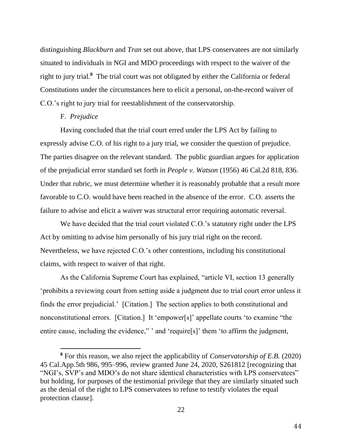distinguishing *Blackburn* and *Tran* set out above, that LPS conservatees are not similarly situated to individuals in NGI and MDO proceedings with respect to the waiver of the right to jury trial.**<sup>8</sup>** The trial court was not obligated by either the California or federal Constitutions under the circumstances here to elicit a personal, on-the-record waiver of C.O.'s right to jury trial for reestablishment of the conservatorship.

### F. *Prejudice*

Having concluded that the trial court erred under the LPS Act by failing to expressly advise C.O. of his right to a jury trial, we consider the question of prejudice. The parties disagree on the relevant standard. The public guardian argues for application of the prejudicial error standard set forth in *People v. Watson* (1956) 46 Cal.2d 818, 836. Under that rubric, we must determine whether it is reasonably probable that a result more favorable to C.O. would have been reached in the absence of the error. C.O. asserts the failure to advise and elicit a waiver was structural error requiring automatic reversal.

We have decided that the trial court violated C.O.'s statutory right under the LPS Act by omitting to advise him personally of his jury trial right on the record. Nevertheless, we have rejected C.O.'s other contentions, including his constitutional claims, with respect to waiver of that right.

As the California Supreme Court has explained, "article VI, section 13 generally 'prohibits a reviewing court from setting aside a judgment due to trial court error unless it finds the error prejudicial.' [Citation.] The section applies to both constitutional and nonconstitutional errors. [Citation.] It 'empower[s]' appellate courts 'to examine "the entire cause, including the evidence," ' and 'require[s]' them 'to affirm the judgment,

**<sup>8</sup>** For this reason, we also reject the applicability of *Conservatorship of E.B.* (2020) 45 Cal.App.5th 986, 995–996, review granted June 24, 2020, S261812 [recognizing that "NGI's, SVP's and MDO's do not share identical characteristics with LPS conservatees" but holding, for purposes of the testimonial privilege that they are similarly situated such as the denial of the right to LPS conservatees to refuse to testify violates the equal protection clause].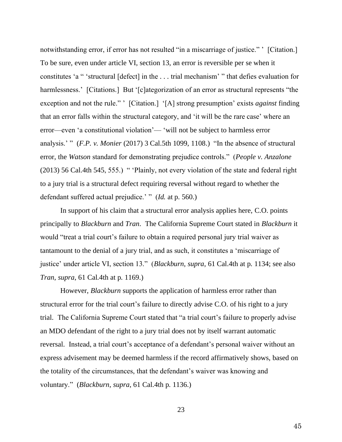notwithstanding error, if error has not resulted "in a miscarriage of justice." [Citation.] To be sure, even under article VI, section 13, an error is reversible per se when it constitutes 'a " 'structural [defect] in the . . . trial mechanism' " that defies evaluation for harmlessness.' [Citations.] But '[c]ategorization of an error as structural represents "the exception and not the rule." ' [Citation.] '[A] strong presumption' exists *against* finding that an error falls within the structural category, and 'it will be the rare case' where an error—even 'a constitutional violation'— 'will not be subject to harmless error analysis.' " (*F.P. v. Monier* (2017) 3 Cal.5th 1099, 1108.) "In the absence of structural error, the *Watson* standard for demonstrating prejudice controls." (*People v. Anzalone* (2013) 56 Cal.4th 545, 555.) " 'Plainly, not every violation of the state and federal right to a jury trial is a structural defect requiring reversal without regard to whether the defendant suffered actual prejudice.' " (*Id.* at p. 560.)

In support of his claim that a structural error analysis applies here, C.O. points principally to *Blackburn* and *Tran*. The California Supreme Court stated in *Blackburn* it would "treat a trial court's failure to obtain a required personal jury trial waiver as tantamount to the denial of a jury trial, and as such, it constitutes a 'miscarriage of justice' under article VI, section 13." (*Blackburn*, *supra*, 61 Cal.4th at p. 1134; see also *Tran*, *supra*, 61 Cal.4th at p. 1169.)

However, *Blackburn* supports the application of harmless error rather than structural error for the trial court's failure to directly advise C.O. of his right to a jury trial. The California Supreme Court stated that "a trial court's failure to properly advise an MDO defendant of the right to a jury trial does not by itself warrant automatic reversal. Instead, a trial court's acceptance of a defendant's personal waiver without an express advisement may be deemed harmless if the record affirmatively shows, based on the totality of the circumstances, that the defendant's waiver was knowing and voluntary." (*Blackburn*, *supra*, 61 Cal.4th p. 1136.)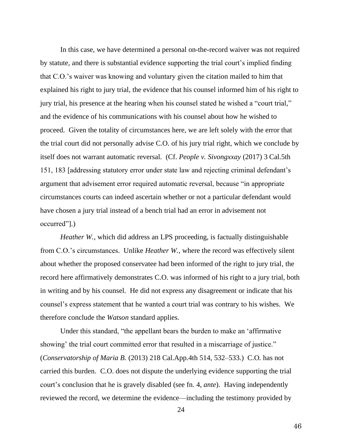In this case, we have determined a personal on-the-record waiver was not required by statute, and there is substantial evidence supporting the trial court's implied finding that C.O.'s waiver was knowing and voluntary given the citation mailed to him that explained his right to jury trial, the evidence that his counsel informed him of his right to jury trial, his presence at the hearing when his counsel stated he wished a "court trial," and the evidence of his communications with his counsel about how he wished to proceed. Given the totality of circumstances here, we are left solely with the error that the trial court did not personally advise C.O. of his jury trial right, which we conclude by itself does not warrant automatic reversal. (Cf. *People v. Sivongxxay* (2017) 3 Cal.5th 151, 183 [addressing statutory error under state law and rejecting criminal defendant's argument that advisement error required automatic reversal, because "in appropriate circumstances courts can indeed ascertain whether or not a particular defendant would have chosen a jury trial instead of a bench trial had an error in advisement not occurred"].)

*Heather W.*, which did address an LPS proceeding, is factually distinguishable from C.O.'s circumstances. Unlike *Heather W.*, where the record was effectively silent about whether the proposed conservatee had been informed of the right to jury trial, the record here affirmatively demonstrates C.O. was informed of his right to a jury trial, both in writing and by his counsel. He did not express any disagreement or indicate that his counsel's express statement that he wanted a court trial was contrary to his wishes. We therefore conclude the *Watson* standard applies.

Under this standard, "the appellant bears the burden to make an 'affirmative showing' the trial court committed error that resulted in a miscarriage of justice." (*Conservatorship of Maria B.* (2013) 218 Cal.App.4th 514, 532–533.) C.O. has not carried this burden. C.O. does not dispute the underlying evidence supporting the trial court's conclusion that he is gravely disabled (see fn. 4, *ante*). Having independently reviewed the record, we determine the evidence—including the testimony provided by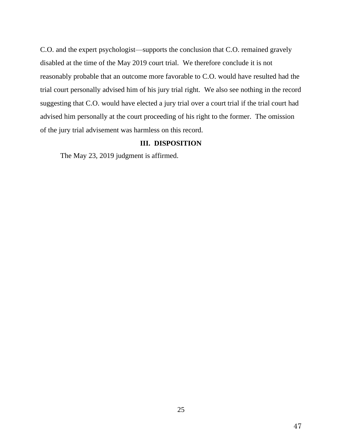C.O. and the expert psychologist—supports the conclusion that C.O. remained gravely disabled at the time of the May 2019 court trial. We therefore conclude it is not reasonably probable that an outcome more favorable to C.O. would have resulted had the trial court personally advised him of his jury trial right. We also see nothing in the record suggesting that C.O. would have elected a jury trial over a court trial if the trial court had advised him personally at the court proceeding of his right to the former. The omission of the jury trial advisement was harmless on this record.

#### **III. DISPOSITION**

The May 23, 2019 judgment is affirmed.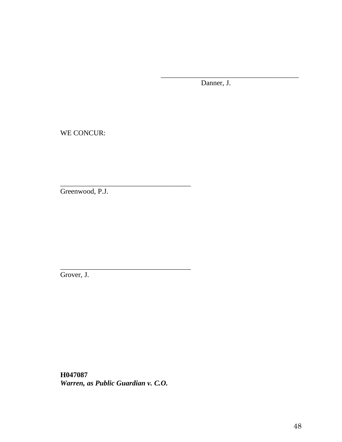Danner, J.

\_\_\_\_\_\_\_\_\_\_\_\_\_\_\_\_\_\_\_\_\_\_\_\_\_\_\_\_\_\_\_\_\_\_\_\_\_\_

WE CONCUR:

Greenwood, P.J.

\_\_\_\_\_\_\_\_\_\_\_\_\_\_\_\_\_\_\_\_\_\_\_\_\_\_\_\_\_\_\_\_\_\_\_\_

\_\_\_\_\_\_\_\_\_\_\_\_\_\_\_\_\_\_\_\_\_\_\_\_\_\_\_\_\_\_\_\_\_\_\_\_

Grover, J.

**H047087** *Warren, as Public Guardian v. C.O.*